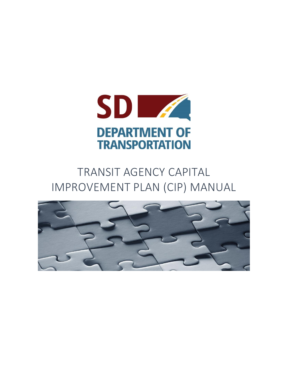

# TRANSIT AGENCY CAPITAL IMPROVEMENT PLAN (CIP) MANUAL

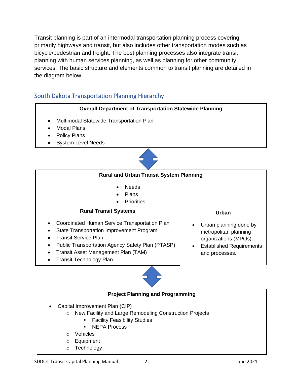Transit planning is part of an intermodal transportation planning process covering primarily highways and transit, but also includes other transportation modes such as bicycle/pedestrian and freight. The best planning processes also integrate transit planning with human services planning, as well as planning for other community services. The basic structure and elements common to transit planning are detailed in the diagram below.

## South Dakota Transportation Planning Hierarchy



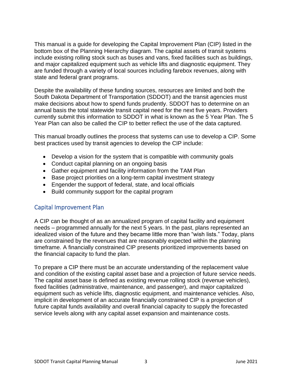This manual is a guide for developing the Capital Improvement Plan (CIP) listed in the bottom box of the Planning Hierarchy diagram. The capital assets of transit systems include existing rolling stock such as buses and vans, fixed facilities such as buildings, and major capitalized equipment such as vehicle lifts and diagnostic equipment. They are funded through a variety of local sources including farebox revenues, along with state and federal grant programs.

Despite the availability of these funding sources, resources are limited and both the South Dakota Department of Transportation (SDDOT) and the transit agencies must make decisions about how to spend funds prudently. SDDOT has to determine on an annual basis the total statewide transit capital need for the next five years. Providers currently submit this information to SDDOT in what is known as the 5 Year Plan. The 5 Year Plan can also be called the CIP to better reflect the use of the data captured.

This manual broadly outlines the process that systems can use to develop a CIP. Some best practices used by transit agencies to develop the CIP include:

- Develop a vision for the system that is compatible with community goals
- Conduct capital planning on an ongoing basis
- Gather equipment and facility information from the TAM Plan
- Base project priorities on a long-term capital investment strategy
- Engender the support of federal, state, and local officials
- Build community support for the capital program

#### Capital Improvement Plan

A CIP can be thought of as an annualized program of capital facility and equipment needs – programmed annually for the next 5 years. In the past, plans represented an idealized vision of the future and they became little more than "wish lists." Today, plans are constrained by the revenues that are reasonably expected within the planning timeframe. A financially constrained CIP presents prioritized improvements based on the financial capacity to fund the plan.

To prepare a CIP there must be an accurate understanding of the replacement value and condition of the existing capital asset base and a projection of future service needs. The capital asset base is defined as existing revenue rolling stock (revenue vehicles), fixed facilities (administrative, maintenance, and passenger), and major capitalized equipment such as vehicle lifts, diagnostic equipment, and maintenance vehicles. Also, implicit in development of an accurate financially constrained CIP is a projection of future capital funds availability and overall financial capacity to supply the forecasted service levels along with any capital asset expansion and maintenance costs.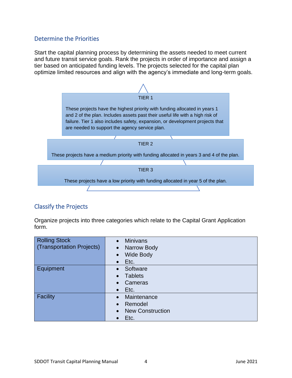### Determine the Priorities

Start the capital planning process by determining the assets needed to meet current and future transit service goals. Rank the projects in order of importance and assign a tier based on anticipated funding levels. The projects selected for the capital plan optimize limited resources and align with the agency's immediate and long-term goals.



## Classify the Projects

Organize projects into three categories which relate to the Capital Grant Application form.

| <b>Rolling Stock</b>             | <b>Minivans</b><br>$\bullet$ |  |  |  |  |  |
|----------------------------------|------------------------------|--|--|--|--|--|
| <b>(Transportation Projects)</b> | Narrow Body<br>$\bullet$     |  |  |  |  |  |
|                                  | <b>Wide Body</b>             |  |  |  |  |  |
|                                  | Etc.<br>$\bullet$            |  |  |  |  |  |
| Equipment                        | Software<br>$\bullet$        |  |  |  |  |  |
|                                  | <b>Tablets</b>               |  |  |  |  |  |
|                                  | Cameras                      |  |  |  |  |  |
|                                  | Etc.<br>$\bullet$            |  |  |  |  |  |
| Facility                         | Maintenance                  |  |  |  |  |  |
|                                  | Remodel<br>$\bullet$         |  |  |  |  |  |
|                                  | <b>New Construction</b>      |  |  |  |  |  |
|                                  | Etc.                         |  |  |  |  |  |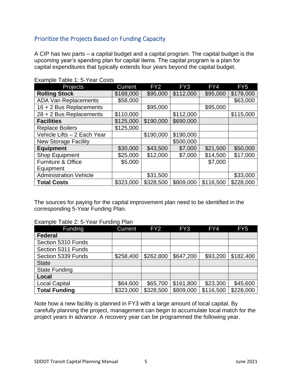# Prioritize the Projects Based on Funding Capacity

A CIP has two parts – a capital budget and a capital program. The capital budget is the upcoming year's spending plan for capital items. The capital program is a plan for capital expenditures that typically extends four years beyond the capital budget.

| Projects                      | <b>Current</b> | FY <sub>2</sub> | FY3       | FY4       | FY <sub>5</sub> |
|-------------------------------|----------------|-----------------|-----------|-----------|-----------------|
| <b>Rolling Stock</b>          | \$168,000      | \$95,000        | \$112,000 | \$95,000  | \$178,000       |
| <b>ADA Van Replacements</b>   | \$58,000       |                 |           |           | \$63,000        |
| 16 + 2 Bus Replacements       |                | \$95,000        |           | \$95,000  |                 |
| 28 + 2 Bus Replacements       | \$110,000      |                 | \$112,000 |           | \$115,000       |
| <b>Facilities</b>             | \$125,000      | \$190,000       | \$690,000 |           |                 |
| <b>Replace Boilers</b>        | \$125,000      |                 |           |           |                 |
| Vehicle Lifts - 2 Each Year   |                | \$190,000       | \$190,000 |           |                 |
| <b>New Storage Facility</b>   |                |                 | \$500,000 |           |                 |
| <b>Equipment</b>              | \$30,000       | \$43,500        | \$7,000   | \$21,500  | \$50,000        |
| <b>Shop Equipment</b>         | \$25,000       | \$12,000        | \$7,000   | \$14,500  | \$17,000        |
| <b>Furniture &amp; Office</b> | \$5,000        |                 |           | \$7,000   |                 |
| Equipment                     |                |                 |           |           |                 |
| <b>Administration Vehicle</b> |                | \$31,500        |           |           | \$33,000        |
| <b>Total Costs</b>            | \$323,000      | \$328,500       | \$809,000 | \$116,500 | \$228,000       |

#### Example Table 1: 5-Year Costs

The sources for paying for the capital improvement plan need to be identified in the corresponding 5-Year Funding Plan.

#### Example Table 2: 5-Year Funding Plan

| Funding              | <b>Current</b> | FY <sub>2</sub> | FY <sub>3</sub> | FY4       | FY <sub>5</sub> |
|----------------------|----------------|-----------------|-----------------|-----------|-----------------|
| <b>Federal</b>       |                |                 |                 |           |                 |
| Section 5310 Funds   |                |                 |                 |           |                 |
| Section 5311 Funds   |                |                 |                 |           |                 |
| Section 5339 Funds   | \$258,400      | \$262,800       | \$647,200       | \$93,200  | \$182,400       |
| <b>State</b>         |                |                 |                 |           |                 |
| <b>State Funding</b> |                |                 |                 |           |                 |
| Local                |                |                 |                 |           |                 |
| <b>Local Capital</b> | \$64,600       | \$65,700        | \$161,800       | \$23,300  | \$45,600        |
| <b>Total Funding</b> | \$323,000      | \$328,500       | \$809,000       | \$116,500 | \$228,000       |

Note how a new facility is planned in FY3 with a large amount of local capital. By carefully planning the project, management can begin to accumulate local match for the project years in advance. A recovery year can be programmed the following year.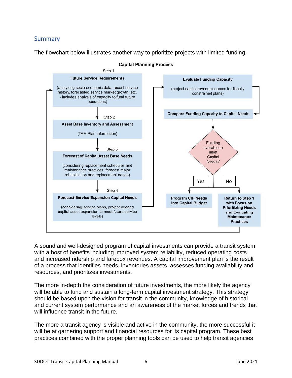# **Summary**

The flowchart below illustrates another way to prioritize projects with limited funding.



**Capital Planning Process** 

A sound and well-designed program of capital investments can provide a transit system with a host of benefits including improved system reliability, reduced operating costs and increased ridership and farebox revenues. A capital improvement plan is the result of a process that identifies needs, inventories assets, assesses funding availability and resources, and prioritizes investments.

The more in-depth the consideration of future investments, the more likely the agency will be able to fund and sustain a long-term capital investment strategy. This strategy should be based upon the vision for transit in the community, knowledge of historical and current system performance and an awareness of the market forces and trends that will influence transit in the future.

The more a transit agency is visible and active in the community, the more successful it will be at garnering support and financial resources for its capital program. These best practices combined with the proper planning tools can be used to help transit agencies